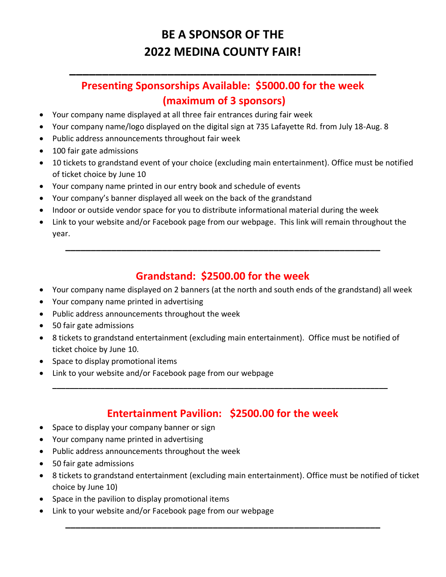# **BE A SPONSOR OF THE 2022 MEDINA COUNTY FAIR!**

### **Presenting Sponsorships Available: \$5000.00 for the week (maximum of 3 sponsors)**

**\_\_\_\_\_\_\_\_\_\_\_\_\_\_\_\_\_\_\_\_\_\_\_\_\_\_\_\_\_\_\_\_\_\_\_\_\_\_\_\_\_\_\_\_\_\_\_**

- Your company name displayed at all three fair entrances during fair week
- Your company name/logo displayed on the digital sign at 735 Lafayette Rd. from July 18-Aug. 8
- Public address announcements throughout fair week
- 100 fair gate admissions
- 10 tickets to grandstand event of your choice (excluding main entertainment). Office must be notified of ticket choice by June 10
- Your company name printed in our entry book and schedule of events
- Your company's banner displayed all week on the back of the grandstand
- Indoor or outside vendor space for you to distribute informational material during the week
- Link to your website and/or Facebook page from our webpage. This link will remain throughout the year.

**\_\_\_\_\_\_\_\_\_\_\_\_\_\_\_\_\_\_\_\_\_\_\_\_\_\_\_\_\_\_\_\_\_\_\_\_\_\_\_\_\_\_\_\_\_\_\_\_\_\_\_\_\_\_\_\_\_\_\_\_\_\_**

#### **Grandstand: \$2500.00 for the week**

- Your company name displayed on 2 banners (at the north and south ends of the grandstand) all week
- Your company name printed in advertising
- Public address announcements throughout the week
- 50 fair gate admissions
- 8 tickets to grandstand entertainment (excluding main entertainment). Office must be notified of ticket choice by June 10.

**\_\_\_\_\_\_\_\_\_\_\_\_\_\_\_\_\_\_\_\_\_\_\_\_\_\_\_\_\_\_\_\_\_\_\_\_\_\_\_\_\_\_\_\_\_\_\_\_\_\_\_\_\_\_\_\_\_\_\_\_\_\_\_\_\_\_\_\_\_\_\_\_\_\_\_\_\_**

- Space to display promotional items
- Link to your website and/or Facebook page from our webpage

### **Entertainment Pavilion: \$2500.00 for the week**

- Space to display your company banner or sign
- Your company name printed in advertising
- Public address announcements throughout the week
- 50 fair gate admissions
- 8 tickets to grandstand entertainment (excluding main entertainment). Office must be notified of ticket choice by June 10)

**\_\_\_\_\_\_\_\_\_\_\_\_\_\_\_\_\_\_\_\_\_\_\_\_\_\_\_\_\_\_\_\_\_\_\_\_\_\_\_\_\_\_\_\_\_\_\_\_\_\_\_\_\_\_\_\_\_\_\_\_\_\_**

- Space in the pavilion to display promotional items
- Link to your website and/or Facebook page from our webpage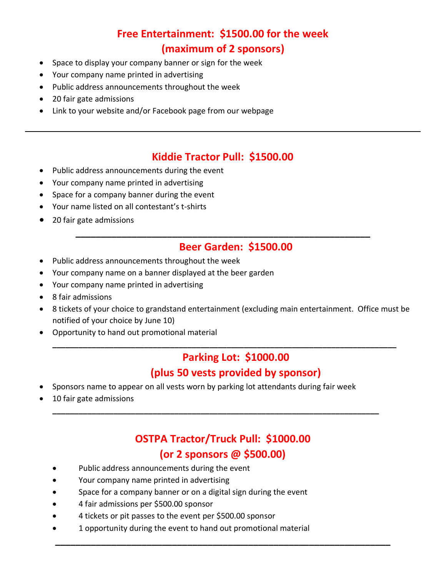# **Free Entertainment: \$1500.00 for the week (maximum of 2 sponsors)**

- Space to display your company banner or sign for the week
- Your company name printed in advertising
- Public address announcements throughout the week
- 20 fair gate admissions
- Link to your website and/or Facebook page from our webpage

#### **Kiddie Tractor Pull: \$1500.00**

**\_\_\_\_\_\_\_\_\_\_\_\_\_\_\_\_\_\_\_\_\_\_\_\_\_\_\_\_\_\_\_\_\_\_\_\_\_\_\_\_\_\_\_\_\_\_\_\_\_\_\_\_\_\_\_\_\_\_**

- Public address announcements during the event
- Your company name printed in advertising
- Space for a company banner during the event
- Your name listed on all contestant's t-shirts
- 20 fair gate admissions

#### **Beer Garden: \$1500.00**

- Public address announcements throughout the week
- Your company name on a banner displayed at the beer garden
- Your company name printed in advertising
- 8 fair admissions
- 8 tickets of your choice to grandstand entertainment (excluding main entertainment. Office must be notified of your choice by June 10)

**\_\_\_\_\_\_\_\_\_\_\_\_\_\_\_\_\_\_\_\_\_\_\_\_\_\_\_\_\_\_\_\_\_\_\_\_\_\_\_\_\_\_\_\_\_\_\_\_\_\_\_\_\_\_\_\_\_\_\_\_\_\_\_\_\_\_\_\_\_\_\_\_\_\_\_\_\_\_\_**

• Opportunity to hand out promotional material

#### **Parking Lot: \$1000.00 (plus 50 vests provided by sponsor)**

- Sponsors name to appear on all vests worn by parking lot attendants during fair week
- 10 fair gate admissions

# **OSTPA Tractor/Truck Pull: \$1000.00 (or 2 sponsors @ \$500.00)**

**\_\_\_\_\_\_\_\_\_\_\_\_\_\_\_\_\_\_\_\_\_\_\_\_\_\_\_\_\_\_\_\_\_\_\_\_\_\_\_\_\_\_\_\_\_\_\_\_\_\_\_\_\_\_\_\_\_\_\_\_\_\_\_\_\_\_**

**\_\_\_\_\_\_\_\_\_\_\_\_\_\_\_\_\_\_\_\_\_\_\_\_\_\_\_\_\_\_\_\_\_\_\_\_\_\_\_\_\_\_\_\_\_\_\_\_\_\_\_\_\_\_\_\_\_\_\_\_\_\_\_\_\_\_\_\_\_\_\_\_\_\_\_**

- Public address announcements during the event
- Your company name printed in advertising
- Space for a company banner or on a digital sign during the event
- 4 fair admissions per \$500.00 sponsor
- 4 tickets or pit passes to the event per \$500.00 sponsor
- 1 opportunity during the event to hand out promotional material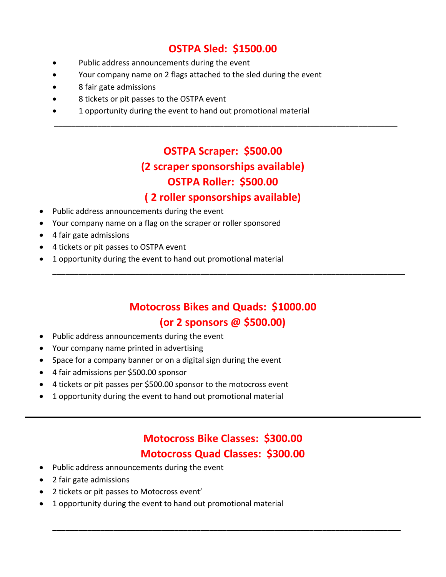### **OSTPA Sled: \$1500.00**

- Public address announcements during the event
- Your company name on 2 flags attached to the sled during the event
- 8 fair gate admissions
- 8 tickets or pit passes to the OSTPA event
- 1 opportunity during the event to hand out promotional material

# **OSTPA Scraper: \$500.00 (2 scraper sponsorships available) OSTPA Roller: \$500.00**

 **\_\_\_\_\_\_\_\_\_\_\_\_\_\_\_\_\_\_\_\_\_\_\_\_\_\_\_\_\_\_\_\_\_\_\_\_\_\_\_\_\_\_\_\_\_\_\_\_\_\_\_\_\_\_\_\_\_\_\_\_\_\_\_\_\_\_\_\_\_\_\_\_\_\_\_\_\_\_\_**

#### **( 2 roller sponsorships available)**

- Public address announcements during the event
- Your company name on a flag on the scraper or roller sponsored
- 4 fair gate admissions
- 4 tickets or pit passes to OSTPA event
- 1 opportunity during the event to hand out promotional material

### **Motocross Bikes and Quads: \$1000.00 (or 2 sponsors @ \$500.00)**

**\_\_\_\_\_\_\_\_\_\_\_\_\_\_\_\_\_\_\_\_\_\_\_\_\_\_\_\_\_\_\_\_\_\_\_\_\_\_\_\_\_\_\_\_\_\_\_\_\_\_\_\_\_\_\_\_\_\_\_\_\_\_\_\_\_\_\_\_\_\_\_\_\_\_\_\_\_\_\_\_\_**

- Public address announcements during the event
- Your company name printed in advertising
- Space for a company banner or on a digital sign during the event
- 4 fair admissions per \$500.00 sponsor
- 4 tickets or pit passes per \$500.00 sponsor to the motocross event
- 1 opportunity during the event to hand out promotional material

# **Motocross Bike Classes: \$300.00 Motocross Quad Classes: \$300.00**

**\_\_\_\_\_\_\_\_\_\_\_\_\_\_\_\_\_\_\_\_\_\_\_\_\_\_\_\_\_\_\_\_\_\_\_\_\_\_\_\_\_\_\_\_\_\_\_\_\_\_\_\_\_\_\_\_\_\_\_\_\_\_\_\_\_\_\_\_\_\_\_\_\_\_\_\_\_\_\_\_**

- Public address announcements during the event
- 2 fair gate admissions
- 2 tickets or pit passes to Motocross event'
- 1 opportunity during the event to hand out promotional material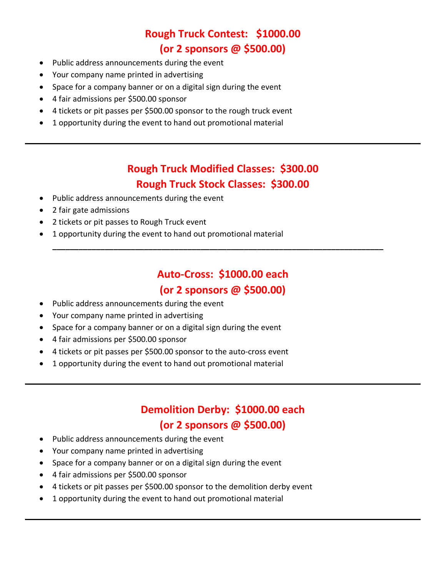# **Rough Truck Contest: \$1000.00 (or 2 sponsors @ \$500.00)**

- Public address announcements during the event
- Your company name printed in advertising
- Space for a company banner or on a digital sign during the event
- 4 fair admissions per \$500.00 sponsor
- 4 tickets or pit passes per \$500.00 sponsor to the rough truck event
- 1 opportunity during the event to hand out promotional material

### **Rough Truck Modified Classes: \$300.00 Rough Truck Stock Classes: \$300.00**

- Public address announcements during the event
- 2 fair gate admissions
- 2 tickets or pit passes to Rough Truck event
- 1 opportunity during the event to hand out promotional material

# **Auto-Cross: \$1000.00 each (or 2 sponsors @ \$500.00)**

**\_\_\_\_\_\_\_\_\_\_\_\_\_\_\_\_\_\_\_\_\_\_\_\_\_\_\_\_\_\_\_\_\_\_\_\_\_\_\_\_\_\_\_\_\_\_\_\_\_\_\_\_\_\_\_\_\_\_\_\_\_\_\_\_\_\_\_\_\_\_\_\_\_\_\_\_**

- Public address announcements during the event
- Your company name printed in advertising
- Space for a company banner or on a digital sign during the event
- 4 fair admissions per \$500.00 sponsor
- 4 tickets or pit passes per \$500.00 sponsor to the auto-cross event
- 1 opportunity during the event to hand out promotional material

# **Demolition Derby: \$1000.00 each**

### **(or 2 sponsors @ \$500.00)**

- Public address announcements during the event
- Your company name printed in advertising
- Space for a company banner or on a digital sign during the event
- 4 fair admissions per \$500.00 sponsor
- 4 tickets or pit passes per \$500.00 sponsor to the demolition derby event
- 1 opportunity during the event to hand out promotional material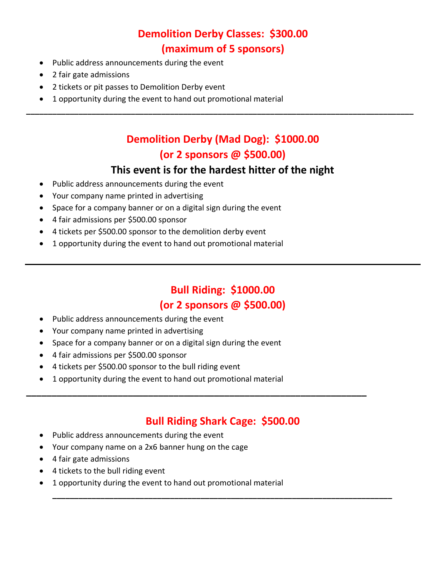# **Demolition Derby Classes: \$300.00 (maximum of 5 sponsors)**

- Public address announcements during the event
- 2 fair gate admissions
- 2 tickets or pit passes to Demolition Derby event
- 1 opportunity during the event to hand out promotional material

# **Demolition Derby (Mad Dog): \$1000.00 (or 2 sponsors @ \$500.00)**

**\_\_\_\_\_\_\_\_\_\_\_\_\_\_\_\_\_\_\_\_\_\_\_\_\_\_\_\_\_\_\_\_\_\_\_\_\_\_\_\_\_\_\_\_\_\_\_\_\_\_\_\_\_\_\_\_\_\_\_\_\_\_\_\_\_\_\_\_\_\_\_\_\_\_\_\_\_\_\_\_\_\_\_\_\_\_\_\_\_**

#### **This event is for the hardest hitter of the night**

- Public address announcements during the event
- Your company name printed in advertising
- Space for a company banner or on a digital sign during the event
- 4 fair admissions per \$500.00 sponsor
- 4 tickets per \$500.00 sponsor to the demolition derby event
- 1 opportunity during the event to hand out promotional material

# **Bull Riding: \$1000.00 (or 2 sponsors @ \$500.00)**

- Public address announcements during the event
- Your company name printed in advertising
- Space for a company banner or on a digital sign during the event
- 4 fair admissions per \$500.00 sponsor
- 4 tickets per \$500.00 sponsor to the bull riding event
- 1 opportunity during the event to hand out promotional material

#### **Bull Riding Shark Cage: \$500.00**

**\_\_\_\_\_\_\_\_\_\_\_\_\_\_\_\_\_\_\_\_\_\_\_\_\_\_\_\_\_\_\_\_\_\_\_\_\_\_\_\_\_\_\_\_\_\_\_\_\_\_\_\_\_\_\_\_\_\_\_\_\_\_\_\_\_\_\_\_\_\_\_\_\_\_\_\_\_\_**

**\_\_\_\_\_\_\_\_\_\_\_\_\_\_\_\_\_\_\_\_\_\_\_\_\_\_\_\_\_\_\_\_\_\_\_\_\_\_\_\_\_\_\_\_\_\_\_\_\_\_\_\_\_\_\_\_\_\_\_\_\_\_\_\_\_\_\_**

- Public address announcements during the event
- Your company name on a 2x6 banner hung on the cage
- 4 fair gate admissions
- 4 tickets to the bull riding event
- 1 opportunity during the event to hand out promotional material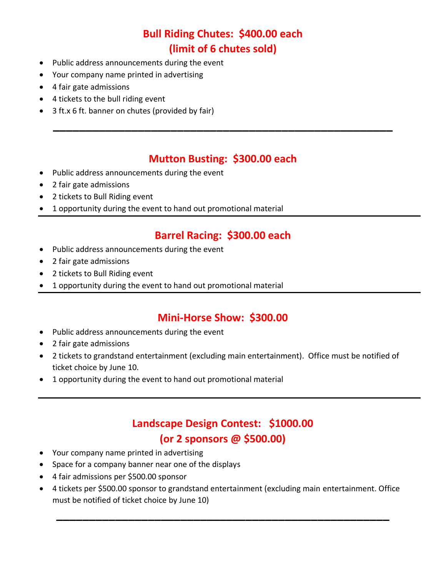# **Bull Riding Chutes: \$400.00 each (limit of 6 chutes sold)**

- Public address announcements during the event
- Your company name printed in advertising
- 4 fair gate admissions
- 4 tickets to the bull riding event
- 3 ft.x 6 ft. banner on chutes (provided by fair)

#### **Mutton Busting: \$300.00 each**

**\_\_\_\_\_\_\_\_\_\_\_\_\_\_\_\_\_\_\_\_\_\_\_\_\_\_\_\_\_\_\_\_\_\_\_\_\_\_\_\_\_\_\_\_\_\_\_\_\_\_\_\_**

- Public address announcements during the event
- 2 fair gate admissions
- 2 tickets to Bull Riding event
- 1 opportunity during the event to hand out promotional material

#### **Barrel Racing: \$300.00 each**

- Public address announcements during the event
- 2 fair gate admissions
- 2 tickets to Bull Riding event
- 1 opportunity during the event to hand out promotional material

#### **Mini-Horse Show: \$300.00**

- Public address announcements during the event
- 2 fair gate admissions
- 2 tickets to grandstand entertainment (excluding main entertainment). Office must be notified of ticket choice by June 10.
- 1 opportunity during the event to hand out promotional material

### **Landscape Design Contest: \$1000.00 (or 2 sponsors @ \$500.00)**

- Your company name printed in advertising
- Space for a company banner near one of the displays
- 4 fair admissions per \$500.00 sponsor
- 4 tickets per \$500.00 sponsor to grandstand entertainment (excluding main entertainment. Office must be notified of ticket choice by June 10)

**\_\_\_\_\_\_\_\_\_\_\_\_\_\_\_\_\_\_\_\_\_\_\_\_\_\_\_\_\_\_\_\_\_\_\_\_\_\_\_\_\_\_\_\_\_\_\_\_\_\_\_**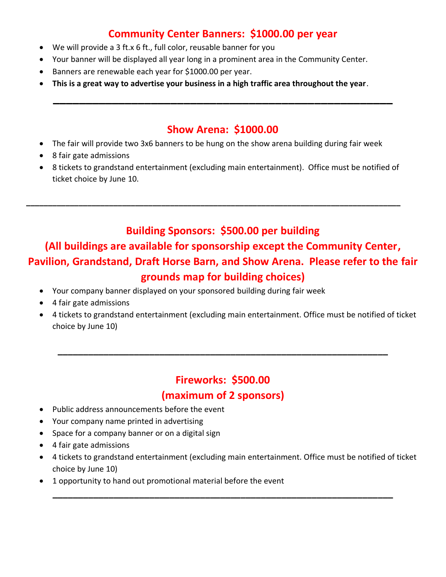### **Community Center Banners: \$1000.00 per year**

- We will provide a 3 ft.x 6 ft., full color, reusable banner for you
- Your banner will be displayed all year long in a prominent area in the Community Center.
- Banners are renewable each year for \$1000.00 per year.
- **This is a great way to advertise your business in a high traffic area throughout the year**.

#### **Show Arena: \$1000.00**

**\_\_\_\_\_\_\_\_\_\_\_\_\_\_\_\_\_\_\_\_\_\_\_\_\_\_\_\_\_\_\_\_\_\_\_\_\_\_\_\_\_\_\_\_\_\_\_\_\_\_\_\_**

- The fair will provide two 3x6 banners to be hung on the show arena building during fair week
- 8 fair gate admissions
- 8 tickets to grandstand entertainment (excluding main entertainment). Office must be notified of ticket choice by June 10.

**\_\_\_\_\_\_\_\_\_\_\_\_\_\_\_\_\_\_\_\_\_\_\_\_\_\_\_\_\_\_\_\_\_\_\_\_\_\_\_\_\_\_\_\_\_\_\_\_\_\_\_\_\_\_\_\_\_\_\_\_\_\_\_\_\_\_\_\_\_\_\_\_\_\_\_\_\_\_\_\_\_\_\_\_\_\_**

#### **Building Sponsors: \$500.00 per building**

### **(All buildings are available for sponsorship except the Community Center, Pavilion, Grandstand, Draft Horse Barn, and Show Arena. Please refer to the fair grounds map for building choices)**

- Your company banner displayed on your sponsored building during fair week
- 4 fair gate admissions
- 4 tickets to grandstand entertainment (excluding main entertainment. Office must be notified of ticket choice by June 10)

#### **Fireworks: \$500.00**

**\_\_\_\_\_\_\_\_\_\_\_\_\_\_\_\_\_\_\_\_\_\_\_\_\_\_\_\_\_\_\_\_\_\_\_\_\_\_\_\_\_\_\_\_\_\_\_\_\_\_\_\_\_\_\_\_\_\_\_\_\_\_\_\_\_**

#### **(maximum of 2 sponsors)**

- Public address announcements before the event
- Your company name printed in advertising
- Space for a company banner or on a digital sign
- 4 fair gate admissions
- 4 tickets to grandstand entertainment (excluding main entertainment. Office must be notified of ticket choice by June 10)

**\_\_\_\_\_\_\_\_\_\_\_\_\_\_\_\_\_\_\_\_\_\_\_\_\_\_\_\_\_\_\_\_\_\_\_\_\_\_\_\_\_\_\_\_\_\_\_\_\_\_\_\_\_\_\_\_\_\_\_\_\_\_\_\_\_\_\_**

• 1 opportunity to hand out promotional material before the event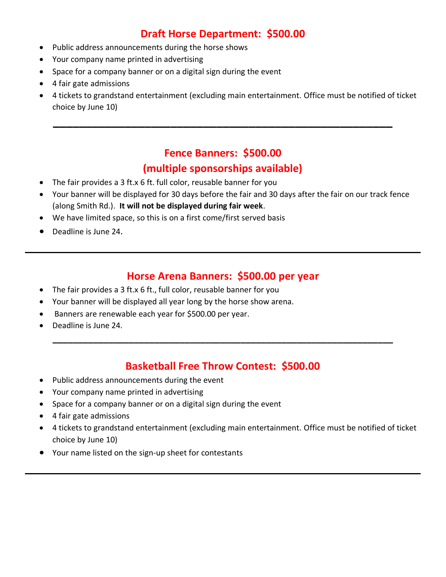### **Draft Horse Department: \$500.00**

- Public address announcements during the horse shows
- Your company name printed in advertising
- Space for a company banner or on a digital sign during the event
- 4 fair gate admissions
- 4 tickets to grandstand entertainment (excluding main entertainment. Office must be notified of ticket choice by June 10)

# **Fence Banners: \$500.00 (multiple sponsorships available)**

**\_\_\_\_\_\_\_\_\_\_\_\_\_\_\_\_\_\_\_\_\_\_\_\_\_\_\_\_\_\_\_\_\_\_\_\_\_\_\_\_\_\_\_\_\_\_\_\_\_\_\_\_**

- The fair provides a 3 ft.x 6 ft. full color, reusable banner for you
- Your banner will be displayed for 30 days before the fair and 30 days after the fair on our track fence (along Smith Rd.). **It will not be displayed during fair week**.
- We have limited space, so this is on a first come/first served basis
- Deadline is June 24.

#### **Horse Arena Banners: \$500.00 per year**

- The fair provides a 3 ft.x 6 ft., full color, reusable banner for you
- Your banner will be displayed all year long by the horse show arena.
- Banners are renewable each year for \$500.00 per year.
- Deadline is June 24.

#### **Basketball Free Throw Contest: \$500.00**

**\_\_\_\_\_\_\_\_\_\_\_\_\_\_\_\_\_\_\_\_\_\_\_\_\_\_\_\_\_\_\_\_\_\_\_\_\_\_\_\_\_\_\_\_\_\_\_\_\_\_\_\_\_\_\_\_\_\_\_\_\_\_\_\_\_\_\_**

- Public address announcements during the event
- Your company name printed in advertising
- Space for a company banner or on a digital sign during the event
- 4 fair gate admissions
- 4 tickets to grandstand entertainment (excluding main entertainment. Office must be notified of ticket choice by June 10)
- Your name listed on the sign-up sheet for contestants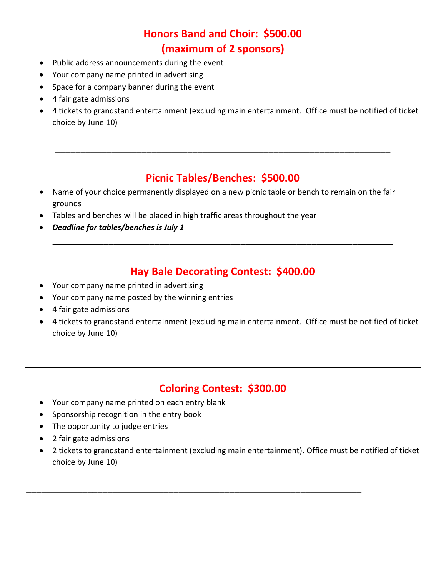# **Honors Band and Choir: \$500.00 (maximum of 2 sponsors)**

- Public address announcements during the event
- Your company name printed in advertising
- Space for a company banner during the event
- 4 fair gate admissions
- 4 tickets to grandstand entertainment (excluding main entertainment. Office must be notified of ticket choice by June 10)

### **Picnic Tables/Benches: \$500.00**

**\_\_\_\_\_\_\_\_\_\_\_\_\_\_\_\_\_\_\_\_\_\_\_\_\_\_\_\_\_\_\_\_\_\_\_\_\_\_\_\_\_\_\_\_\_\_\_\_\_\_\_\_\_\_\_\_\_\_\_\_\_\_\_\_\_\_**

- Name of your choice permanently displayed on a new picnic table or bench to remain on the fair grounds
- Tables and benches will be placed in high traffic areas throughout the year
- *Deadline for tables/benches is July 1*

### **Hay Bale Decorating Contest: \$400.00**

**\_\_\_\_\_\_\_\_\_\_\_\_\_\_\_\_\_\_\_\_\_\_\_\_\_\_\_\_\_\_\_\_\_\_\_\_\_\_\_\_\_\_\_\_\_\_\_\_\_\_\_\_\_\_\_\_\_\_\_\_\_\_\_\_\_\_\_**

- Your company name printed in advertising
- Your company name posted by the winning entries
- 4 fair gate admissions
- 4 tickets to grandstand entertainment (excluding main entertainment. Office must be notified of ticket choice by June 10)

#### **Coloring Contest: \$300.00**

- Your company name printed on each entry blank
- Sponsorship recognition in the entry book
- The opportunity to judge entries
- 2 fair gate admissions
- 2 tickets to grandstand entertainment (excluding main entertainment). Office must be notified of ticket choice by June 10)

**\_\_\_\_\_\_\_\_\_\_\_\_\_\_\_\_\_\_\_\_\_\_\_\_\_\_\_\_\_\_\_\_\_\_\_\_\_\_\_\_\_\_\_\_\_\_\_\_\_\_\_\_\_\_\_\_\_\_\_\_\_\_\_\_\_\_**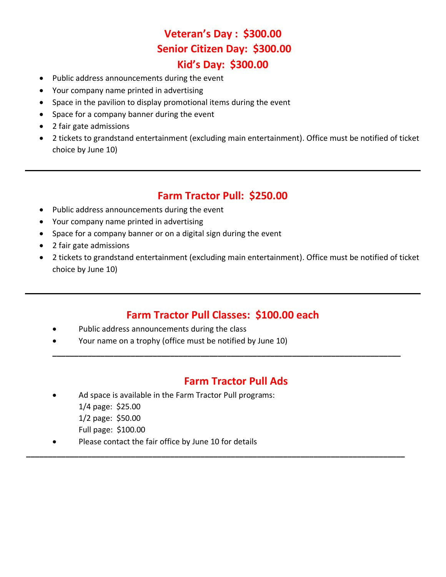# **Veteran's Day : \$300.00 Senior Citizen Day: \$300.00 Kid's Day: \$300.00**

- Public address announcements during the event
- Your company name printed in advertising
- Space in the pavilion to display promotional items during the event
- Space for a company banner during the event
- 2 fair gate admissions
- 2 tickets to grandstand entertainment (excluding main entertainment). Office must be notified of ticket choice by June 10)

#### **Farm Tractor Pull: \$250.00**

- Public address announcements during the event
- Your company name printed in advertising
- Space for a company banner or on a digital sign during the event
- 2 fair gate admissions
- 2 tickets to grandstand entertainment (excluding main entertainment). Office must be notified of ticket choice by June 10)

#### **Farm Tractor Pull Classes: \$100.00 each**

**\_\_\_\_\_\_\_\_\_\_\_\_\_\_\_\_\_\_\_\_\_\_\_\_\_\_\_\_\_\_\_\_\_\_\_\_\_\_\_\_\_\_\_\_\_\_\_\_\_\_\_\_\_\_\_\_\_\_\_\_\_\_\_\_\_\_\_\_\_\_\_\_\_\_\_\_\_\_\_\_**

**\_\_\_\_\_\_\_\_\_\_\_\_\_\_\_\_\_\_\_\_\_\_\_\_\_\_\_\_\_\_\_\_\_\_\_\_\_\_\_\_\_\_\_\_\_\_\_\_\_\_\_\_\_\_\_\_\_\_\_\_\_\_\_\_\_\_\_\_\_\_\_\_\_\_\_\_\_\_\_\_\_\_\_\_\_\_\_**

- Public address announcements during the class
- Your name on a trophy (office must be notified by June 10)

#### **Farm Tractor Pull Ads**

- Ad space is available in the Farm Tractor Pull programs: 1/4 page: \$25.00 1/2 page: \$50.00
	- Full page: \$100.00
- Please contact the fair office by June 10 for details